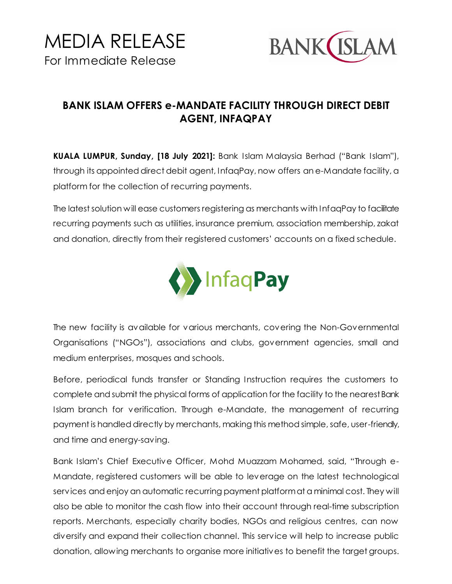

## **BANK ISLAM OFFERS e-MANDATE FACILITY THROUGH DIRECT DEBIT AGENT, INFAQPAY**

**KUALA LUMPUR, Sunday, [18 July 2021]:** Bank Islam Malaysia Berhad ("Bank Islam"), through its appointed direct debit agent, InfaqPay, now offers an e-Mandate facility, a platform for the collection of recurring payments.

The latest solution will ease customers registering as merchants with InfaqPay to facilitate recurring payments such as utilities, insurance premium, association membership, zakat and donation, directly from their registered customers' accounts on a fixed schedule.



The new facility is available for various merchants, covering the Non-Governmental Organisations ("NGOs"), associations and clubs, government agencies, small and medium enterprises, mosques and schools.

Before, periodical funds transfer or Standing Instruction requires the customers to complete and submit the physical forms of application for the facility to the nearest Bank Islam branch for verification. Through e-Mandate, the management of recurring payment is handled directly by merchants, making this method simple, safe, user-friendly, and time and energy-saving.

Bank Islam's Chief Executive Officer, Mohd Muazzam Mohamed, said, "Through e-Mandate, registered customers will be able to leverage on the latest technological services and enjoy an automatic recurring payment platform at a minimal cost. They will also be able to monitor the cash flow into their account through real-time subscription reports. Merchants, especially charity bodies, NGOs and religious centres, can now diversify and expand their collection channel. This service will help to increase public donation, allowing merchants to organise more initiatives to benefit the target groups.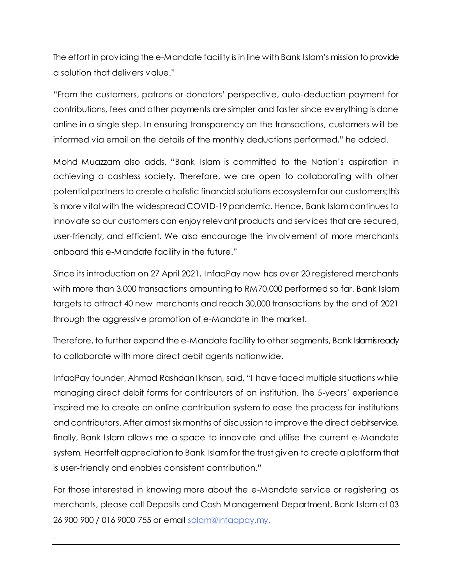The effort in providing the e-Mandate facility is in line with Bank Islam's mission to provide a solution that delivers value."

"From the customers, patrons or donators' perspective, auto-deduction payment for contributions, fees and other payments are simpler and faster since everything is done online in a single step. In ensuring transparency on the transactions, customers will be informed via email on the details of the monthly deductions performed," he added.

Mohd Muazzam also adds, "Bank Islam is committed to the Nation's aspiration in achieving a cashless society. Therefore, we are open to collaborating with other potential partners to create a holistic financial solutions ecosystem for our customers;this is more vital with the widespread COVID-19 pandemic. Hence, Bank Islam continues to innovate so our customers can enjoy relevant products and services that are secured, user-friendly, and efficient. We also encourage the involvement of more merchants onboard this e-Mandate facility in the future."

Since its introduction on 27 April 2021, InfaqPay now has over 20 registered merchants with more than 3,000 transactions amounting to RM70,000 performed so far. Bank Islam targets to attract 40 new merchants and reach 30,000 transactions by the end of 2021 through the aggressive promotion of e-Mandate in the market.

Therefore, to further expand the e-Mandate facility to other segments, Bank Islamisready to collaborate with more direct debit agents nationwide.

InfaqPay founder, Ahmad Rashdan Ikhsan, said, "I have faced multiple situations while managing direct debit forms for contributors of an institution. The 5-years' experience inspired me to create an online contribution system to ease the process for institutions and contributors. After almost six months of discussion to improve the direct debit service, finally, Bank Islam allows me a space to innovate and utilise the current e-Mandate system. Heartfelt appreciation to Bank Islam for the trust given to create a platform that is user-friendly and enables consistent contribution."

For those interested in knowing more about the e-Mandate service or registering as merchants, please call Deposits and Cash Management Department, Bank Islam at 03 26 900 900 / 016 9000 755 or email [salam@infaqpay.my.](mailto:salam@infaqpay.my)